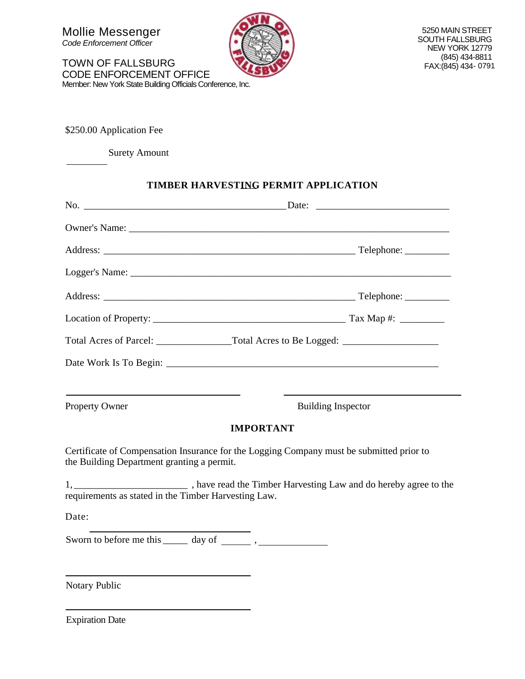Mollie Messenger *Code Enforcement Officer*

TOWN OF FALLSBURG CODE ENFORCEMENT OFFICE Member: New York State Building Officials Conference, Inc.



5250 MAIN STREET SOUTH FALLSBURG NEW YORK 12779 (845) 434-8811 FAX:(845) 434 - 0791

\$250.00 Application Fee

Surety Amount

#### **TIMBER HARVESTING PERMIT APPLICATION**

|                                                                                                                                        | Total Acres of Parcel: _______________________Total Acres to Be Logged: ____________________________ |
|----------------------------------------------------------------------------------------------------------------------------------------|------------------------------------------------------------------------------------------------------|
|                                                                                                                                        |                                                                                                      |
|                                                                                                                                        |                                                                                                      |
| Property Owner                                                                                                                         | <b>Building Inspector</b>                                                                            |
| <b>IMPORTANT</b>                                                                                                                       |                                                                                                      |
| Certificate of Compensation Insurance for the Logging Company must be submitted prior to<br>the Building Department granting a permit. |                                                                                                      |
| requirements as stated in the Timber Harvesting Law.                                                                                   |                                                                                                      |
| Date:                                                                                                                                  |                                                                                                      |
|                                                                                                                                        |                                                                                                      |
|                                                                                                                                        |                                                                                                      |
| Notary Public                                                                                                                          |                                                                                                      |

Expiration Date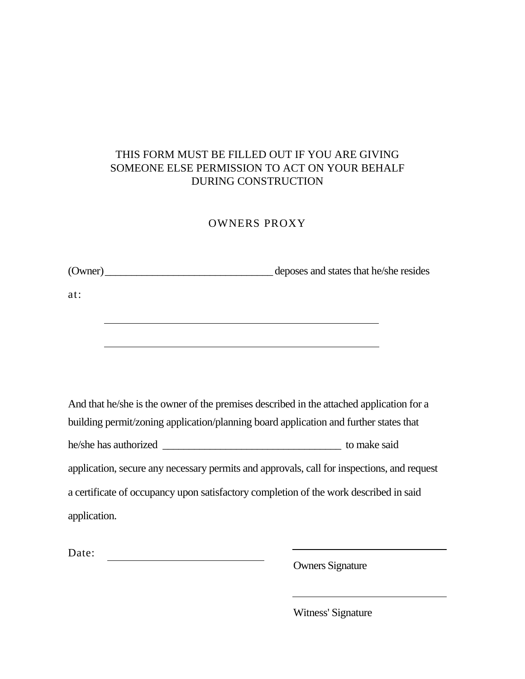### THIS FORM MUST BE FILLED OUT IF YOU ARE GIVING SOMEONE ELSE PERMISSION TO ACT ON YOUR BEHALF DURING CONSTRUCTION

#### OWNERS PROXY

(Owner)\_\_\_\_\_\_\_\_\_\_\_\_\_\_\_\_\_\_\_\_\_\_\_\_\_\_\_\_\_\_\_\_ deposes and states that he/she resides

at:

And that he/she is the owner of the premises described in the attached application for a building permit/zoning application/planning board application and further states that he/she has authorized \_\_\_\_\_\_\_\_\_\_\_\_\_\_\_\_\_\_\_\_\_\_\_\_\_\_\_\_\_\_\_\_\_\_ to make said application, secure any necessary permits and approvals, call for inspections, and request a certificate of occupancy upon satisfactory completion of the work described in said application.

Date:

Owners Signature

Witness' Signature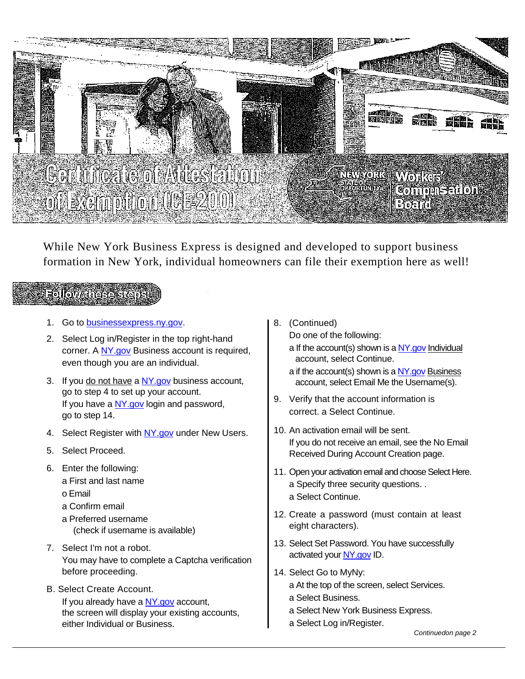

While New York Business Express is designed and developed to support business formation in New York, individual homeowners can file their exemption here as well!

## Follow these steps

- 1. Go to [businessexpress.ny.gov.](http://businessexpress.ny.gov/)
- 2. Select Log in/Register in the top right-hand corner. A [NY.gov](http://ny.gov/) Business account is required, even though you are an individual.
- 3. If you do not have a [NY.gov](http://ny.gov/) business account, go to step 4 to set up your account. If you have a [NY.gov](http://ny.gov/) login and password, go to step 14.
- 4. Select Register with [NY.gov](http://ny.gov/) under New Users.
- 5. Select Proceed.
- 6. Enter the following:
	- a First and last name
	- o Email
	- a Confirm email
	- a Preferred username (check if username is available)
- 7. Select I'm not a robot. You may have to complete a Captcha verification before proceeding.
- B. Select Create Account. If you already have a [NY.gov](http://ny.gov/) account, the screen will display your existing accounts, either Individual or Business.
- 8. (Continued)
	- Do one of the following:
	- a If the account(s) shown is [a NY.gov](http://ny.gov/) Individual account, select Continue.
	- a if the account(s) shown is a  $NY.gov$  Business account, select Email Me the Username(s).
- 9. Verify that the account information is correct. a Select Continue.
- 10. An activation email will be sent. If you do not receive an email, see the No Email Received During Account Creation page.
- 11. Open your activation email and choose Select Here. a Specify three security questions. . a Select Continue.
- 12. Create a password (must contain at least eight characters).
- 13. Select Set Password. You have successfully activated you[r NY.gov](http://ny.gov/) ID.
- 14. Select Go to MyNy:
	- a At the top of the screen, select Services.
	- a Select Business.
	- a Select New York Business Express.
	- a Select Log in/Register.